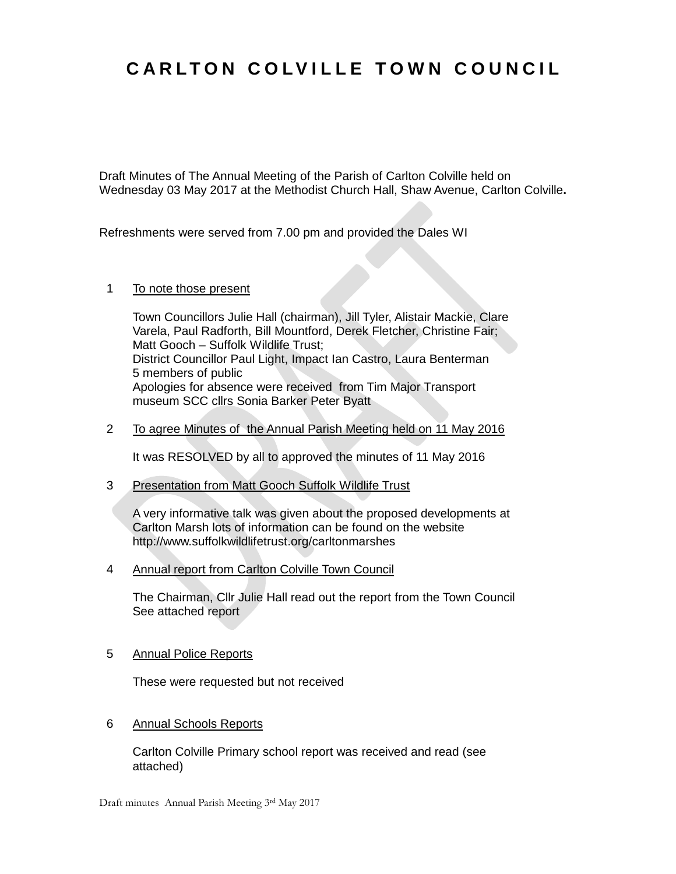## **C A R L T O N C O L V I L L E T O W N C O U N C I L**

Draft Minutes of The Annual Meeting of the Parish of Carlton Colville held on Wednesday 03 May 2017 at the Methodist Church Hall, Shaw Avenue, Carlton Colville**.**

Refreshments were served from 7.00 pm and provided the Dales WI

## 1 To note those present

Town Councillors Julie Hall (chairman), Jill Tyler, Alistair Mackie, Clare Varela, Paul Radforth, Bill Mountford, Derek Fletcher, Christine Fair; Matt Gooch – Suffolk Wildlife Trust; District Councillor Paul Light, Impact Ian Castro, Laura Benterman 5 members of public Apologies for absence were received from Tim Major Transport museum SCC cllrs Sonia Barker Peter Byatt

2 To agree Minutes of the Annual Parish Meeting held on 11 May 2016

It was RESOLVED by all to approved the minutes of 11 May 2016

3 Presentation from Matt Gooch Suffolk Wildlife Trust

A very informative talk was given about the proposed developments at Carlton Marsh lots of information can be found on the website http://www.suffolkwildlifetrust.org/carltonmarshes

4 Annual report from Carlton Colville Town Council

The Chairman, Cllr Julie Hall read out the report from the Town Council See attached report

5 Annual Police Reports

These were requested but not received

6 Annual Schools Reports

Carlton Colville Primary school report was received and read (see attached)